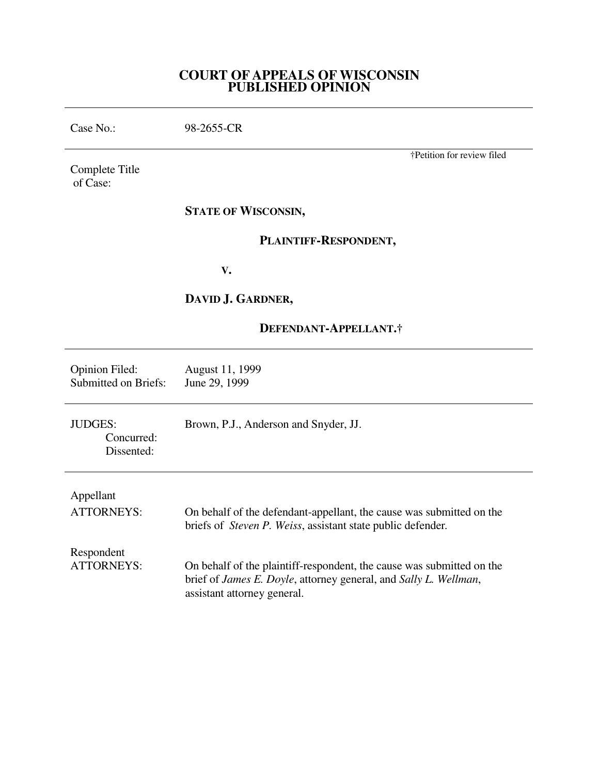# **COURT OF APPEALS OF WISCONSIN PUBLISHED OPINION**

Case No.: 98-2655-CR Complete Title of Case: †Petition for review filed **STATE OF WISCONSIN, PLAINTIFF-RESPONDENT, V. DAVID J. GARDNER, DEFENDANT-APPELLANT.†**  Opinion Filed: August 11, 1999<br>Submitted on Briefs: June 29, 1999 Submitted on Briefs: JUDGES: Brown, P.J., Anderson and Snyder, JJ. Concurred: Dissented: Appellant ATTORNEYS: On behalf of the defendant-appellant, the cause was submitted on the briefs of *Steven P. Weiss*, assistant state public defender*.* Respondent<br>ATTORNEYS: On behalf of the plaintiff-respondent, the cause was submitted on the brief of *James E. Doyle*, attorney general, and *Sally L. Wellman*, assistant attorney general.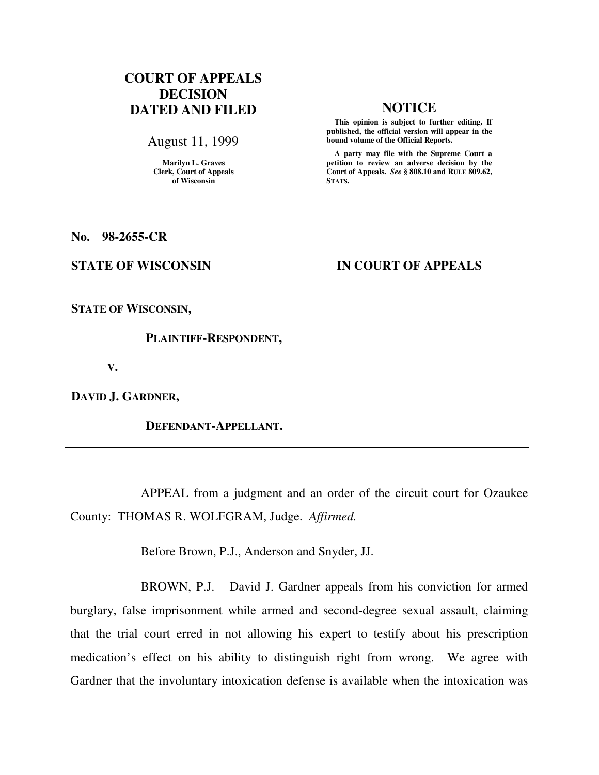# **COURT OF APPEALS DECISION DATED AND FILED NOTICE**

August 11, 1999

**Marilyn L. Graves Clerk, Court of Appeals of Wisconsin** 

 **This opinion is subject to further editing. If published, the official version will appear in the bound volume of the Official Reports.**

 **A party may file with the Supreme Court a petition to review an adverse decision by the Court of Appeals.** *See* **§ 808.10 and RULE 809.62, STATS.** 

**No. 98-2655-CR** 

### **STATE OF WISCONSIN IN COURT OF APPEALS**

**STATE OF WISCONSIN,** 

 **PLAINTIFF-RESPONDENT,** 

 **V.** 

**DAVID J. GARDNER,** 

 **DEFENDANT-APPELLANT.** 

 APPEAL from a judgment and an order of the circuit court for Ozaukee County: THOMAS R. WOLFGRAM, Judge. *Affirmed.*

Before Brown, P.J., Anderson and Snyder, JJ.

 BROWN, P.J. David J. Gardner appeals from his conviction for armed burglary, false imprisonment while armed and second-degree sexual assault, claiming that the trial court erred in not allowing his expert to testify about his prescription medication's effect on his ability to distinguish right from wrong. We agree with Gardner that the involuntary intoxication defense is available when the intoxication was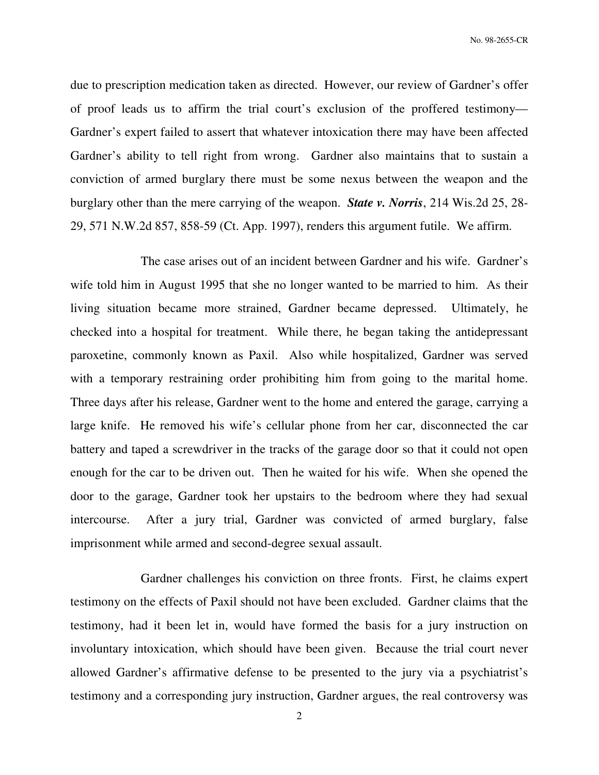due to prescription medication taken as directed. However, our review of Gardner's offer of proof leads us to affirm the trial court's exclusion of the proffered testimony— Gardner's expert failed to assert that whatever intoxication there may have been affected Gardner's ability to tell right from wrong. Gardner also maintains that to sustain a conviction of armed burglary there must be some nexus between the weapon and the burglary other than the mere carrying of the weapon. *State v. Norris*, 214 Wis.2d 25, 28- 29, 571 N.W.2d 857, 858-59 (Ct. App. 1997), renders this argument futile. We affirm.

 The case arises out of an incident between Gardner and his wife. Gardner's wife told him in August 1995 that she no longer wanted to be married to him. As their living situation became more strained, Gardner became depressed. Ultimately, he checked into a hospital for treatment. While there, he began taking the antidepressant paroxetine, commonly known as Paxil. Also while hospitalized, Gardner was served with a temporary restraining order prohibiting him from going to the marital home. Three days after his release, Gardner went to the home and entered the garage, carrying a large knife. He removed his wife's cellular phone from her car, disconnected the car battery and taped a screwdriver in the tracks of the garage door so that it could not open enough for the car to be driven out. Then he waited for his wife. When she opened the door to the garage, Gardner took her upstairs to the bedroom where they had sexual intercourse. After a jury trial, Gardner was convicted of armed burglary, false imprisonment while armed and second-degree sexual assault.

 Gardner challenges his conviction on three fronts. First, he claims expert testimony on the effects of Paxil should not have been excluded. Gardner claims that the testimony, had it been let in, would have formed the basis for a jury instruction on involuntary intoxication, which should have been given. Because the trial court never allowed Gardner's affirmative defense to be presented to the jury via a psychiatrist's testimony and a corresponding jury instruction, Gardner argues, the real controversy was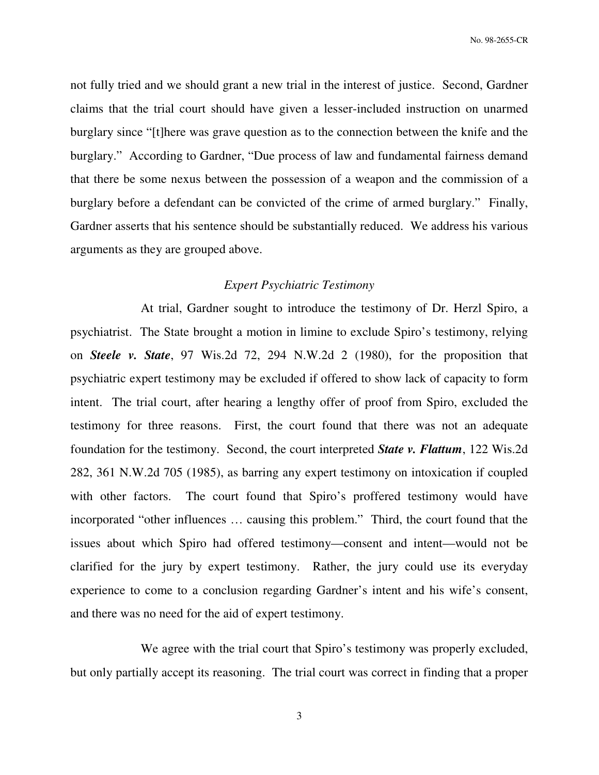not fully tried and we should grant a new trial in the interest of justice. Second, Gardner claims that the trial court should have given a lesser-included instruction on unarmed burglary since "[t]here was grave question as to the connection between the knife and the burglary." According to Gardner, "Due process of law and fundamental fairness demand that there be some nexus between the possession of a weapon and the commission of a burglary before a defendant can be convicted of the crime of armed burglary." Finally, Gardner asserts that his sentence should be substantially reduced. We address his various arguments as they are grouped above.

# *Expert Psychiatric Testimony*

 At trial, Gardner sought to introduce the testimony of Dr. Herzl Spiro, a psychiatrist. The State brought a motion in limine to exclude Spiro's testimony, relying on *Steele v. State*, 97 Wis.2d 72, 294 N.W.2d 2 (1980), for the proposition that psychiatric expert testimony may be excluded if offered to show lack of capacity to form intent. The trial court, after hearing a lengthy offer of proof from Spiro, excluded the testimony for three reasons. First, the court found that there was not an adequate foundation for the testimony. Second, the court interpreted *State v. Flattum*, 122 Wis.2d 282, 361 N.W.2d 705 (1985), as barring any expert testimony on intoxication if coupled with other factors. The court found that Spiro's proffered testimony would have incorporated "other influences … causing this problem." Third, the court found that the issues about which Spiro had offered testimony—consent and intent—would not be clarified for the jury by expert testimony. Rather, the jury could use its everyday experience to come to a conclusion regarding Gardner's intent and his wife's consent, and there was no need for the aid of expert testimony.

We agree with the trial court that Spiro's testimony was properly excluded, but only partially accept its reasoning. The trial court was correct in finding that a proper

3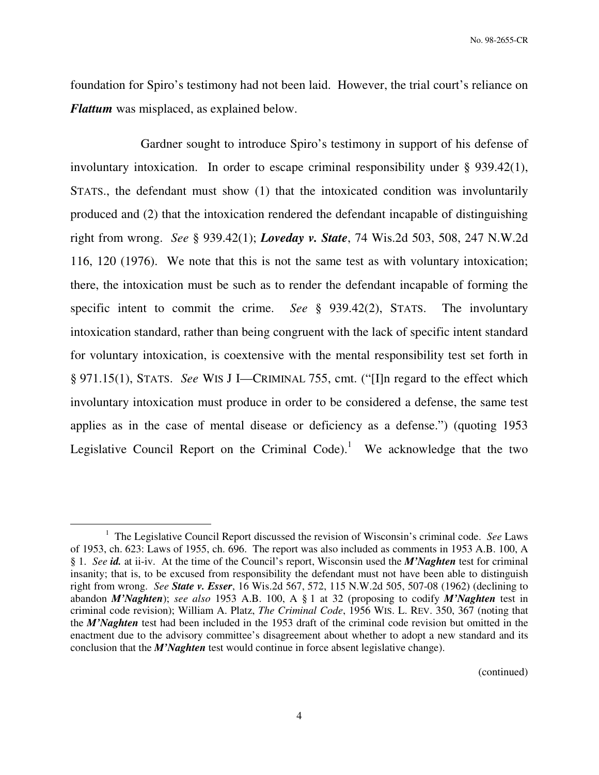foundation for Spiro's testimony had not been laid. However, the trial court's reliance on *Flattum* was misplaced, as explained below.

 Gardner sought to introduce Spiro's testimony in support of his defense of involuntary intoxication. In order to escape criminal responsibility under § 939.42(1), STATS., the defendant must show (1) that the intoxicated condition was involuntarily produced and (2) that the intoxication rendered the defendant incapable of distinguishing right from wrong. *See* § 939.42(1); *Loveday v. State*, 74 Wis.2d 503, 508, 247 N.W.2d 116, 120 (1976). We note that this is not the same test as with voluntary intoxication; there, the intoxication must be such as to render the defendant incapable of forming the specific intent to commit the crime. *See* § 939.42(2), STATS. The involuntary intoxication standard, rather than being congruent with the lack of specific intent standard for voluntary intoxication, is coextensive with the mental responsibility test set forth in § 971.15(1), STATS. *See* WIS J I—CRIMINAL 755, cmt. ("[I]n regard to the effect which involuntary intoxication must produce in order to be considered a defense, the same test applies as in the case of mental disease or deficiency as a defense.") (quoting 1953 Legislative Council Report on the Criminal Code).<sup>1</sup> We acknowledge that the two

 $\overline{a}$ 

(continued)

<sup>1</sup> The Legislative Council Report discussed the revision of Wisconsin's criminal code. *See* Laws of 1953, ch. 623: Laws of 1955, ch. 696. The report was also included as comments in 1953 A.B. 100, A § 1. *See id.* at ii-iv. At the time of the Council's report, Wisconsin used the *M'Naghten* test for criminal insanity; that is, to be excused from responsibility the defendant must not have been able to distinguish right from wrong. *See State v. Esser*, 16 Wis.2d 567, 572, 115 N.W.2d 505, 507-08 (1962) (declining to abandon *M'Naghten*); *see also* 1953 A.B. 100, A § 1 at 32 (proposing to codify *M'Naghten* test in criminal code revision); William A. Platz, *The Criminal Code*, 1956 WIS. L. REV. 350, 367 (noting that the *M'Naghten* test had been included in the 1953 draft of the criminal code revision but omitted in the enactment due to the advisory committee's disagreement about whether to adopt a new standard and its conclusion that the *M'Naghten* test would continue in force absent legislative change).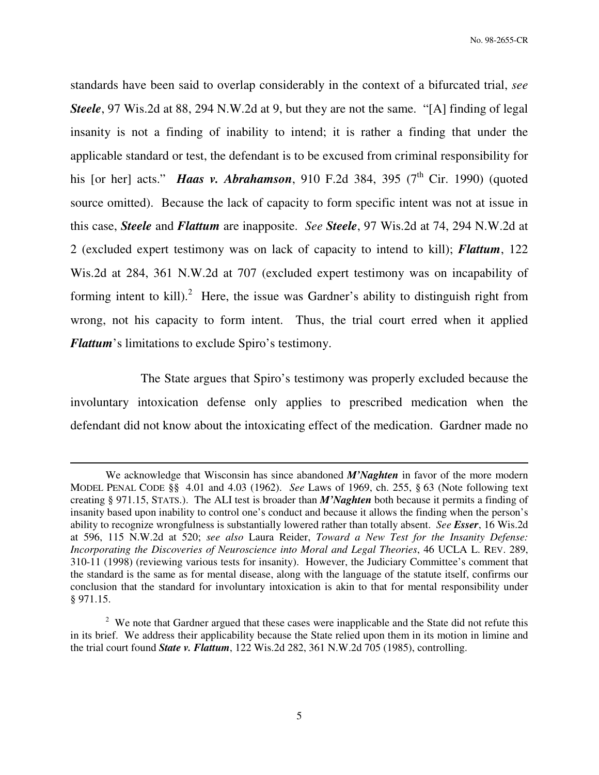standards have been said to overlap considerably in the context of a bifurcated trial, *see Steele*, 97 Wis.2d at 88, 294 N.W.2d at 9, but they are not the same. "[A] finding of legal insanity is not a finding of inability to intend; it is rather a finding that under the applicable standard or test, the defendant is to be excused from criminal responsibility for his [or her] acts." **Haas v. Abrahamson**, 910 F.2d 384, 395 (7<sup>th</sup> Cir. 1990) (quoted source omitted). Because the lack of capacity to form specific intent was not at issue in this case, *Steele* and *Flattum* are inapposite. *See Steele*, 97 Wis.2d at 74, 294 N.W.2d at 2 (excluded expert testimony was on lack of capacity to intend to kill); *Flattum*, 122 Wis.2d at 284, 361 N.W.2d at 707 (excluded expert testimony was on incapability of forming intent to kill).<sup>2</sup> Here, the issue was Gardner's ability to distinguish right from wrong, not his capacity to form intent. Thus, the trial court erred when it applied *Flattum*'s limitations to exclude Spiro's testimony.

 The State argues that Spiro's testimony was properly excluded because the involuntary intoxication defense only applies to prescribed medication when the defendant did not know about the intoxicating effect of the medication. Gardner made no

 $\overline{a}$ 

We acknowledge that Wisconsin has since abandoned *M'Naghten* in favor of the more modern MODEL PENAL CODE §§ 4.01 and 4.03 (1962). *See* Laws of 1969, ch. 255, § 63 (Note following text creating § 971.15, STATS.). The ALI test is broader than *M'Naghten* both because it permits a finding of insanity based upon inability to control one's conduct and because it allows the finding when the person's ability to recognize wrongfulness is substantially lowered rather than totally absent. *See Esser*, 16 Wis.2d at 596, 115 N.W.2d at 520; *see also* Laura Reider, *Toward a New Test for the Insanity Defense: Incorporating the Discoveries of Neuroscience into Moral and Legal Theories*, 46 UCLA L. REV. 289, 310-11 (1998) (reviewing various tests for insanity). However, the Judiciary Committee's comment that the standard is the same as for mental disease, along with the language of the statute itself, confirms our conclusion that the standard for involuntary intoxication is akin to that for mental responsibility under § 971.15.

 $2$  We note that Gardner argued that these cases were inapplicable and the State did not refute this in its brief. We address their applicability because the State relied upon them in its motion in limine and the trial court found *State v. Flattum*, 122 Wis.2d 282, 361 N.W.2d 705 (1985), controlling.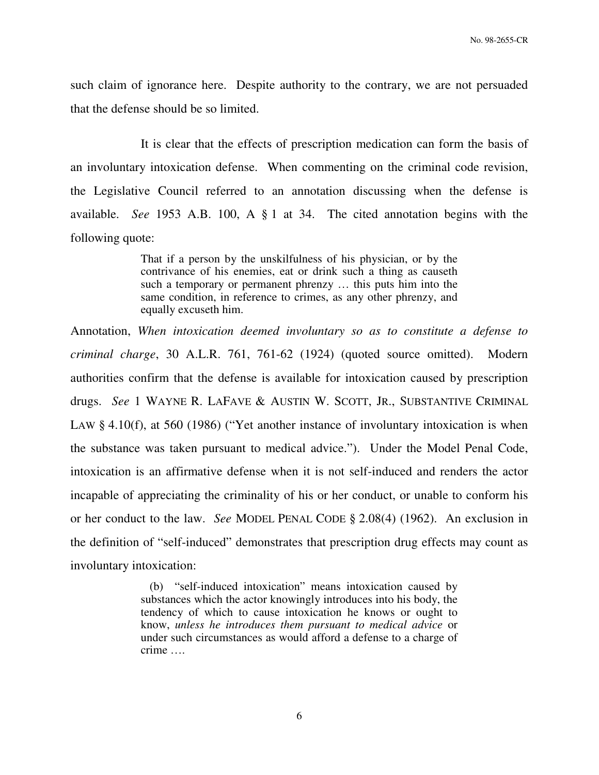such claim of ignorance here. Despite authority to the contrary, we are not persuaded that the defense should be so limited.

 It is clear that the effects of prescription medication can form the basis of an involuntary intoxication defense. When commenting on the criminal code revision, the Legislative Council referred to an annotation discussing when the defense is available. *See* 1953 A.B. 100, A § 1 at 34. The cited annotation begins with the following quote:

> That if a person by the unskilfulness of his physician, or by the contrivance of his enemies, eat or drink such a thing as causeth such a temporary or permanent phrenzy … this puts him into the same condition, in reference to crimes, as any other phrenzy, and equally excuseth him.

Annotation, *When intoxication deemed involuntary so as to constitute a defense to criminal charge*, 30 A.L.R. 761, 761-62 (1924) (quoted source omitted). Modern authorities confirm that the defense is available for intoxication caused by prescription drugs. *See* 1 WAYNE R. LAFAVE & AUSTIN W. SCOTT, JR., SUBSTANTIVE CRIMINAL LAW § 4.10(f), at 560 (1986) ("Yet another instance of involuntary intoxication is when the substance was taken pursuant to medical advice."). Under the Model Penal Code, intoxication is an affirmative defense when it is not self-induced and renders the actor incapable of appreciating the criminality of his or her conduct, or unable to conform his or her conduct to the law. *See* MODEL PENAL CODE § 2.08(4) (1962). An exclusion in the definition of "self-induced" demonstrates that prescription drug effects may count as involuntary intoxication:

> (b) "self-induced intoxication" means intoxication caused by substances which the actor knowingly introduces into his body, the tendency of which to cause intoxication he knows or ought to know, *unless he introduces them pursuant to medical advice* or under such circumstances as would afford a defense to a charge of crime ….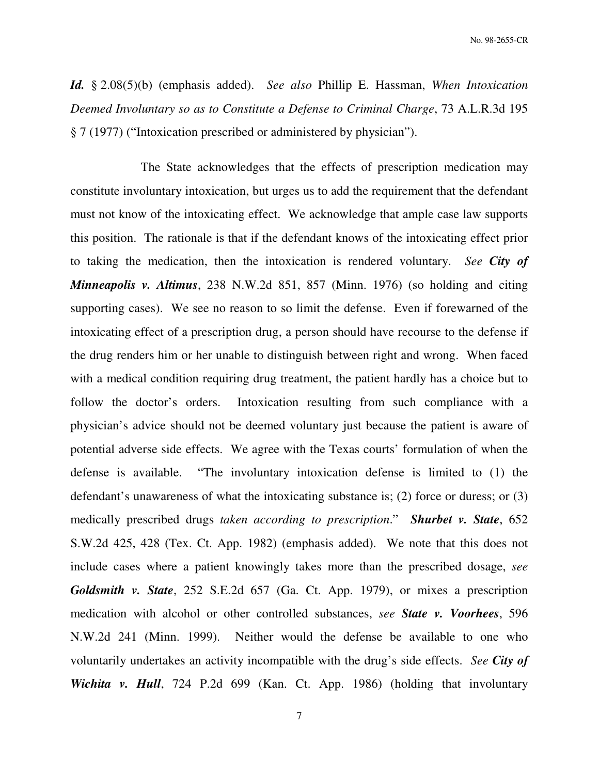*Id.* § 2.08(5)(b) (emphasis added). *See also* Phillip E. Hassman, *When Intoxication Deemed Involuntary so as to Constitute a Defense to Criminal Charge*, 73 A.L.R.3d 195 § 7 (1977) ("Intoxication prescribed or administered by physician").

 The State acknowledges that the effects of prescription medication may constitute involuntary intoxication, but urges us to add the requirement that the defendant must not know of the intoxicating effect. We acknowledge that ample case law supports this position. The rationale is that if the defendant knows of the intoxicating effect prior to taking the medication, then the intoxication is rendered voluntary. *See City of Minneapolis v. Altimus*, 238 N.W.2d 851, 857 (Minn. 1976) (so holding and citing supporting cases). We see no reason to so limit the defense. Even if forewarned of the intoxicating effect of a prescription drug, a person should have recourse to the defense if the drug renders him or her unable to distinguish between right and wrong. When faced with a medical condition requiring drug treatment, the patient hardly has a choice but to follow the doctor's orders. Intoxication resulting from such compliance with a physician's advice should not be deemed voluntary just because the patient is aware of potential adverse side effects. We agree with the Texas courts' formulation of when the defense is available. "The involuntary intoxication defense is limited to (1) the defendant's unawareness of what the intoxicating substance is; (2) force or duress; or (3) medically prescribed drugs *taken according to prescription*." *Shurbet v. State*, 652 S.W.2d 425, 428 (Tex. Ct. App. 1982) (emphasis added). We note that this does not include cases where a patient knowingly takes more than the prescribed dosage, *see Goldsmith v. State*, 252 S.E.2d 657 (Ga. Ct. App. 1979), or mixes a prescription medication with alcohol or other controlled substances, *see State v. Voorhees*, 596 N.W.2d 241 (Minn. 1999). Neither would the defense be available to one who voluntarily undertakes an activity incompatible with the drug's side effects. *See City of Wichita v. Hull*, 724 P.2d 699 (Kan. Ct. App. 1986) (holding that involuntary

7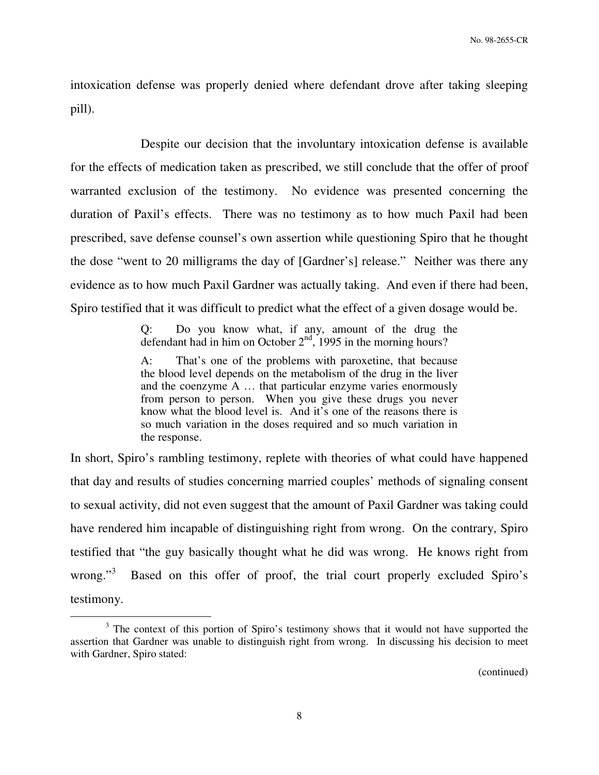intoxication defense was properly denied where defendant drove after taking sleeping pill).

 Despite our decision that the involuntary intoxication defense is available for the effects of medication taken as prescribed, we still conclude that the offer of proof warranted exclusion of the testimony. No evidence was presented concerning the duration of Paxil's effects. There was no testimony as to how much Paxil had been prescribed, save defense counsel's own assertion while questioning Spiro that he thought the dose "went to 20 milligrams the day of [Gardner's] release." Neither was there any evidence as to how much Paxil Gardner was actually taking. And even if there had been, Spiro testified that it was difficult to predict what the effect of a given dosage would be.

> Q: Do you know what, if any, amount of the drug the defendant had in him on October  $2<sup>nd</sup>$ , 1995 in the morning hours?

> A: That's one of the problems with paroxetine, that because the blood level depends on the metabolism of the drug in the liver and the coenzyme A … that particular enzyme varies enormously from person to person. When you give these drugs you never know what the blood level is. And it's one of the reasons there is so much variation in the doses required and so much variation in the response.

In short, Spiro's rambling testimony, replete with theories of what could have happened that day and results of studies concerning married couples' methods of signaling consent to sexual activity, did not even suggest that the amount of Paxil Gardner was taking could have rendered him incapable of distinguishing right from wrong. On the contrary, Spiro testified that "the guy basically thought what he did was wrong. He knows right from wrong." $\frac{3}{2}$  Based on this offer of proof, the trial court properly excluded Spiro's testimony.

 $\overline{a}$ 

(continued)

 $3$  The context of this portion of Spiro's testimony shows that it would not have supported the assertion that Gardner was unable to distinguish right from wrong. In discussing his decision to meet with Gardner, Spiro stated: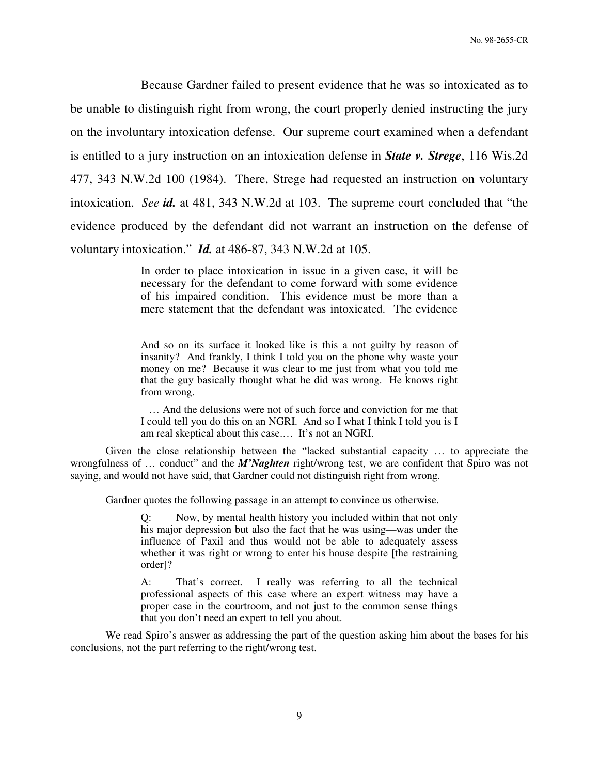Because Gardner failed to present evidence that he was so intoxicated as to be unable to distinguish right from wrong, the court properly denied instructing the jury on the involuntary intoxication defense. Our supreme court examined when a defendant is entitled to a jury instruction on an intoxication defense in *State v. Strege*, 116 Wis.2d 477, 343 N.W.2d 100 (1984). There, Strege had requested an instruction on voluntary intoxication. *See id.* at 481, 343 N.W.2d at 103. The supreme court concluded that "the evidence produced by the defendant did not warrant an instruction on the defense of voluntary intoxication." *Id.* at 486-87, 343 N.W.2d at 105.

> In order to place intoxication in issue in a given case, it will be necessary for the defendant to come forward with some evidence of his impaired condition. This evidence must be more than a mere statement that the defendant was intoxicated. The evidence

> And so on its surface it looked like is this a not guilty by reason of insanity? And frankly, I think I told you on the phone why waste your money on me? Because it was clear to me just from what you told me that the guy basically thought what he did was wrong. He knows right from wrong.

> … And the delusions were not of such force and conviction for me that I could tell you do this on an NGRI. And so I what I think I told you is I am real skeptical about this case.… It's not an NGRI.

Given the close relationship between the "lacked substantial capacity … to appreciate the wrongfulness of … conduct" and the *M'Naghten* right/wrong test, we are confident that Spiro was not saying, and would not have said, that Gardner could not distinguish right from wrong.

Gardner quotes the following passage in an attempt to convince us otherwise.

 $\overline{a}$ 

Q: Now, by mental health history you included within that not only his major depression but also the fact that he was using—was under the influence of Paxil and thus would not be able to adequately assess whether it was right or wrong to enter his house despite [the restraining order]?

A: That's correct. I really was referring to all the technical professional aspects of this case where an expert witness may have a proper case in the courtroom, and not just to the common sense things that you don't need an expert to tell you about.

We read Spiro's answer as addressing the part of the question asking him about the bases for his conclusions, not the part referring to the right/wrong test.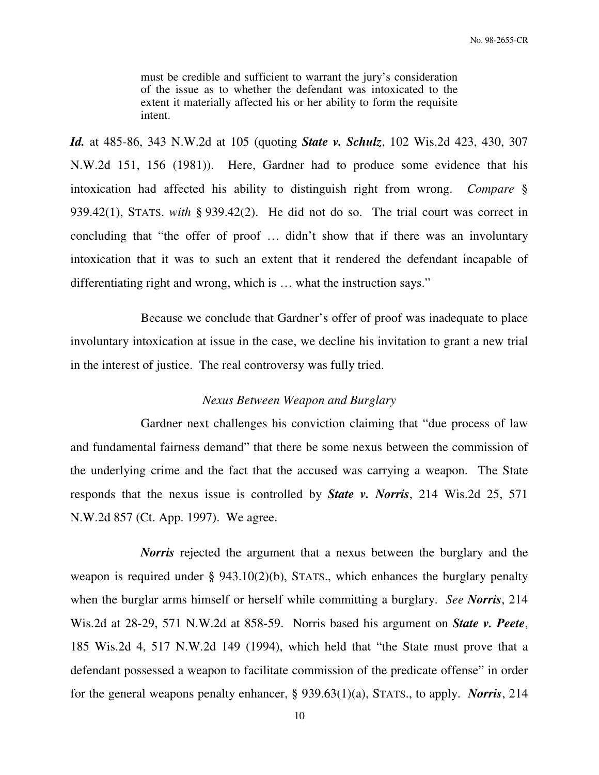must be credible and sufficient to warrant the jury's consideration of the issue as to whether the defendant was intoxicated to the extent it materially affected his or her ability to form the requisite intent.

*Id.* at 485-86, 343 N.W.2d at 105 (quoting *State v. Schulz*, 102 Wis.2d 423, 430, 307 N.W.2d 151, 156 (1981)). Here, Gardner had to produce some evidence that his intoxication had affected his ability to distinguish right from wrong. *Compare* § 939.42(1), STATS. *with* § 939.42(2). He did not do so. The trial court was correct in concluding that "the offer of proof … didn't show that if there was an involuntary intoxication that it was to such an extent that it rendered the defendant incapable of differentiating right and wrong, which is … what the instruction says."

 Because we conclude that Gardner's offer of proof was inadequate to place involuntary intoxication at issue in the case, we decline his invitation to grant a new trial in the interest of justice. The real controversy was fully tried.

### *Nexus Between Weapon and Burglary*

 Gardner next challenges his conviction claiming that "due process of law and fundamental fairness demand" that there be some nexus between the commission of the underlying crime and the fact that the accused was carrying a weapon. The State responds that the nexus issue is controlled by *State v. Norris*, 214 Wis.2d 25, 571 N.W.2d 857 (Ct. App. 1997). We agree.

*Norris* rejected the argument that a nexus between the burglary and the weapon is required under § 943.10(2)(b), STATS., which enhances the burglary penalty when the burglar arms himself or herself while committing a burglary. *See Norris*, 214 Wis.2d at 28-29, 571 N.W.2d at 858-59. Norris based his argument on *State v. Peete*, 185 Wis.2d 4, 517 N.W.2d 149 (1994), which held that "the State must prove that a defendant possessed a weapon to facilitate commission of the predicate offense" in order for the general weapons penalty enhancer, § 939.63(1)(a), STATS., to apply. *Norris*, 214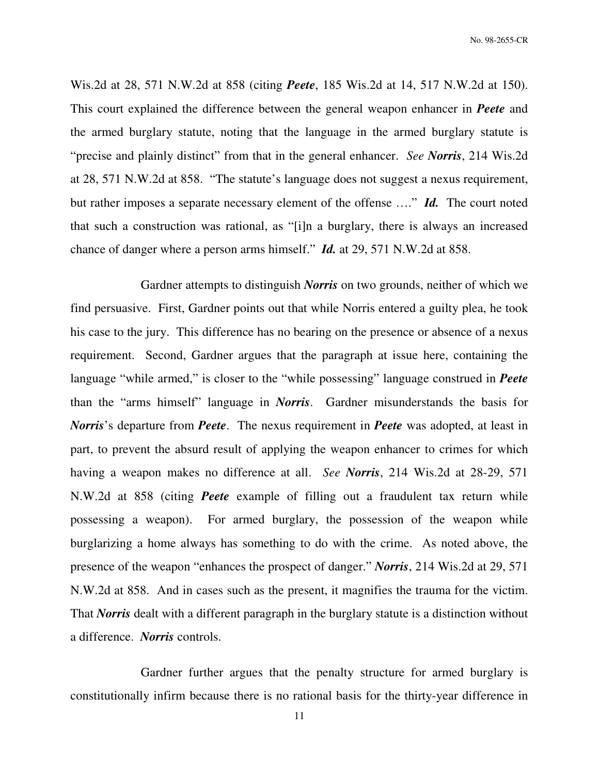Wis.2d at 28, 571 N.W.2d at 858 (citing *Peete*, 185 Wis.2d at 14, 517 N.W.2d at 150). This court explained the difference between the general weapon enhancer in *Peete* and the armed burglary statute, noting that the language in the armed burglary statute is "precise and plainly distinct" from that in the general enhancer. *See Norris*, 214 Wis.2d at 28, 571 N.W.2d at 858. "The statute's language does not suggest a nexus requirement, but rather imposes a separate necessary element of the offense …." *Id.* The court noted that such a construction was rational, as "[i]n a burglary, there is always an increased chance of danger where a person arms himself." *Id.* at 29, 571 N.W.2d at 858.

 Gardner attempts to distinguish *Norris* on two grounds, neither of which we find persuasive. First, Gardner points out that while Norris entered a guilty plea, he took his case to the jury. This difference has no bearing on the presence or absence of a nexus requirement. Second, Gardner argues that the paragraph at issue here, containing the language "while armed," is closer to the "while possessing" language construed in *Peete* than the "arms himself" language in *Norris*. Gardner misunderstands the basis for *Norris*'s departure from *Peete*. The nexus requirement in *Peete* was adopted, at least in part, to prevent the absurd result of applying the weapon enhancer to crimes for which having a weapon makes no difference at all. *See Norris*, 214 Wis.2d at 28-29, 571 N.W.2d at 858 (citing *Peete* example of filling out a fraudulent tax return while possessing a weapon). For armed burglary, the possession of the weapon while burglarizing a home always has something to do with the crime. As noted above, the presence of the weapon "enhances the prospect of danger." *Norris*, 214 Wis.2d at 29, 571 N.W.2d at 858. And in cases such as the present, it magnifies the trauma for the victim. That *Norris* dealt with a different paragraph in the burglary statute is a distinction without a difference. *Norris* controls.

 Gardner further argues that the penalty structure for armed burglary is constitutionally infirm because there is no rational basis for the thirty-year difference in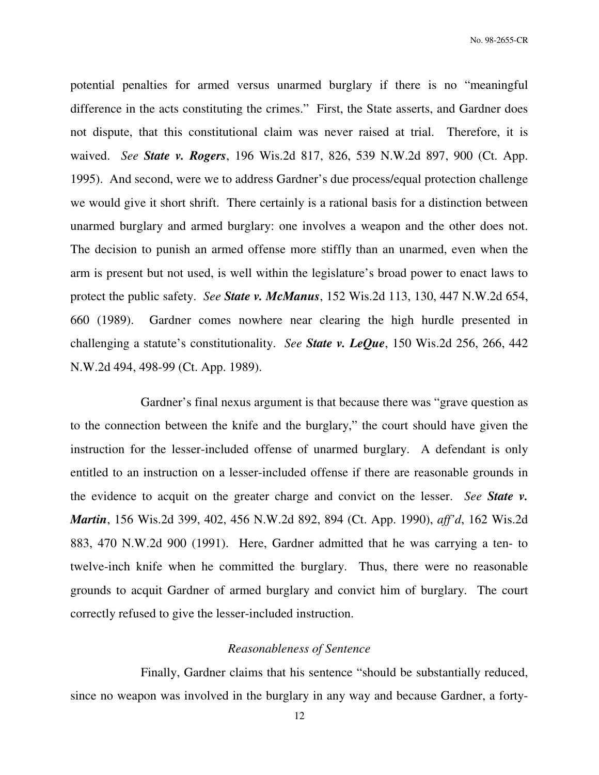potential penalties for armed versus unarmed burglary if there is no "meaningful difference in the acts constituting the crimes." First, the State asserts, and Gardner does not dispute, that this constitutional claim was never raised at trial. Therefore, it is waived. *See State v. Rogers*, 196 Wis.2d 817, 826, 539 N.W.2d 897, 900 (Ct. App. 1995). And second, were we to address Gardner's due process/equal protection challenge we would give it short shrift. There certainly is a rational basis for a distinction between unarmed burglary and armed burglary: one involves a weapon and the other does not. The decision to punish an armed offense more stiffly than an unarmed, even when the arm is present but not used, is well within the legislature's broad power to enact laws to protect the public safety. *See State v. McManus*, 152 Wis.2d 113, 130, 447 N.W.2d 654, 660 (1989). Gardner comes nowhere near clearing the high hurdle presented in challenging a statute's constitutionality. *See State v. LeQue*, 150 Wis.2d 256, 266, 442 N.W.2d 494, 498-99 (Ct. App. 1989).

 Gardner's final nexus argument is that because there was "grave question as to the connection between the knife and the burglary," the court should have given the instruction for the lesser-included offense of unarmed burglary. A defendant is only entitled to an instruction on a lesser-included offense if there are reasonable grounds in the evidence to acquit on the greater charge and convict on the lesser. *See State v. Martin*, 156 Wis.2d 399, 402, 456 N.W.2d 892, 894 (Ct. App. 1990), *aff'd*, 162 Wis.2d 883, 470 N.W.2d 900 (1991). Here, Gardner admitted that he was carrying a ten- to twelve-inch knife when he committed the burglary. Thus, there were no reasonable grounds to acquit Gardner of armed burglary and convict him of burglary. The court correctly refused to give the lesser-included instruction.

#### *Reasonableness of Sentence*

 Finally, Gardner claims that his sentence "should be substantially reduced, since no weapon was involved in the burglary in any way and because Gardner, a forty